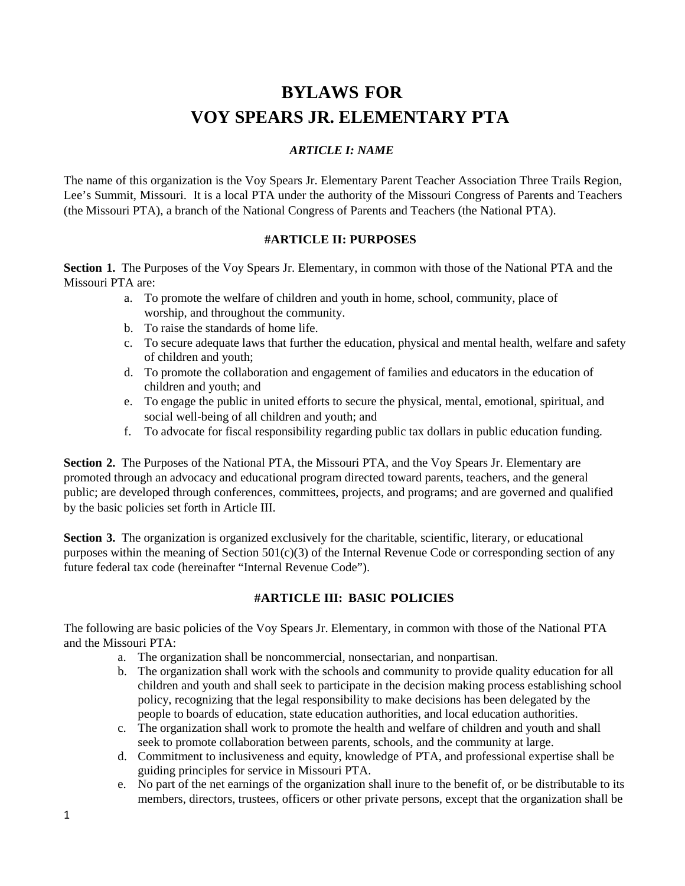# **BYLAWS FOR VOY SPEARS JR. ELEMENTARY PTA**

#### *ARTICLE I: NAME*

The name of this organization is the Voy Spears Jr. Elementary Parent Teacher Association Three Trails Region, Lee's Summit, Missouri. It is a local PTA under the authority of the Missouri Congress of Parents and Teachers (the Missouri PTA), a branch of the National Congress of Parents and Teachers (the National PTA).

#### **#ARTICLE II: PURPOSES**

**Section 1.** The Purposes of the Voy Spears Jr. Elementary, in common with those of the National PTA and the Missouri PTA are:

- a. To promote the welfare of children and youth in home, school, community, place of worship, and throughout the community.
- b. To raise the standards of home life.
- c. To secure adequate laws that further the education, physical and mental health, welfare and safety of children and youth;
- d. To promote the collaboration and engagement of families and educators in the education of children and youth; and
- e. To engage the public in united efforts to secure the physical, mental, emotional, spiritual, and social well-being of all children and youth; and
- f. To advocate for fiscal responsibility regarding public tax dollars in public education funding.

**Section 2.** The Purposes of the National PTA, the Missouri PTA, and the Voy Spears Jr. Elementary are promoted through an advocacy and educational program directed toward parents, teachers, and the general public; are developed through conferences, committees, projects, and programs; and are governed and qualified by the basic policies set forth in Article III.

**Section 3.** The organization is organized exclusively for the charitable, scientific, literary, or educational purposes within the meaning of Section  $501(c)(3)$  of the Internal Revenue Code or corresponding section of any future federal tax code (hereinafter "Internal Revenue Code").

#### **#ARTICLE III: BASIC POLICIES**

The following are basic policies of the Voy Spears Jr. Elementary, in common with those of the National PTA and the Missouri PTA:

- a. The organization shall be noncommercial, nonsectarian, and nonpartisan.
- b. The organization shall work with the schools and community to provide quality education for all children and youth and shall seek to participate in the decision making process establishing school policy, recognizing that the legal responsibility to make decisions has been delegated by the people to boards of education, state education authorities, and local education authorities.
- c. The organization shall work to promote the health and welfare of children and youth and shall seek to promote collaboration between parents, schools, and the community at large.
- d. Commitment to inclusiveness and equity, knowledge of PTA, and professional expertise shall be guiding principles for service in Missouri PTA.
- e. No part of the net earnings of the organization shall inure to the benefit of, or be distributable to its members, directors, trustees, officers or other private persons, except that the organization shall be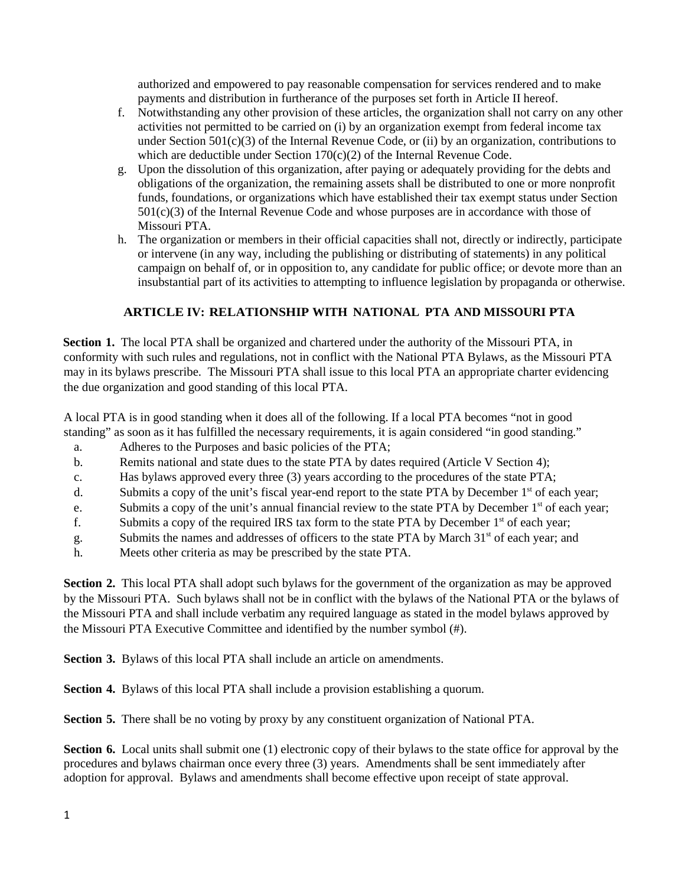authorized and empowered to pay reasonable compensation for services rendered and to make payments and distribution in furtherance of the purposes set forth in Article II hereof.

- f. Notwithstanding any other provision of these articles, the organization shall not carry on any other activities not permitted to be carried on (i) by an organization exempt from federal income tax under Section  $501(c)(3)$  of the Internal Revenue Code, or (ii) by an organization, contributions to which are deductible under Section 170(c)(2) of the Internal Revenue Code.
- g. Upon the dissolution of this organization, after paying or adequately providing for the debts and obligations of the organization, the remaining assets shall be distributed to one or more nonprofit funds, foundations, or organizations which have established their tax exempt status under Section 501(c)(3) of the Internal Revenue Code and whose purposes are in accordance with those of Missouri PTA.
- h. The organization or members in their official capacities shall not, directly or indirectly, participate or intervene (in any way, including the publishing or distributing of statements) in any political campaign on behalf of, or in opposition to, any candidate for public office; or devote more than an insubstantial part of its activities to attempting to influence legislation by propaganda or otherwise.

## **ARTICLE IV: RELATIONSHIP WITH NATIONAL PTA AND MISSOURI PTA**

**Section 1.** The local PTA shall be organized and chartered under the authority of the Missouri PTA, in conformity with such rules and regulations, not in conflict with the National PTA Bylaws, as the Missouri PTA may in its bylaws prescribe. The Missouri PTA shall issue to this local PTA an appropriate charter evidencing the due organization and good standing of this local PTA.

A local PTA is in good standing when it does all of the following. If a local PTA becomes "not in good standing" as soon as it has fulfilled the necessary requirements, it is again considered "in good standing."

- a. Adheres to the Purposes and basic policies of the PTA;
- b. Remits national and state dues to the state PTA by dates required (Article V Section 4);
- c. Has bylaws approved every three (3) years according to the procedures of the state PTA;
- d. Submits a copy of the unit's fiscal year-end report to the state PTA by December 1<sup>st</sup> of each year;
- e. Submits a copy of the unit's annual financial review to the state PTA by December 1<sup>st</sup> of each year;
- f. Submits a copy of the required IRS tax form to the state PTA by December  $1<sup>st</sup>$  of each year;
- g. Submits the names and addresses of officers to the state PTA by March 31<sup>st</sup> of each year; and
- h. Meets other criteria as may be prescribed by the state PTA.

**Section 2.** This local PTA shall adopt such bylaws for the government of the organization as may be approved by the Missouri PTA. Such bylaws shall not be in conflict with the bylaws of the National PTA or the bylaws of the Missouri PTA and shall include verbatim any required language as stated in the model bylaws approved by the Missouri PTA Executive Committee and identified by the number symbol (#).

**Section 3.** Bylaws of this local PTA shall include an article on amendments.

**Section 4.** Bylaws of this local PTA shall include a provision establishing a quorum.

**Section 5.** There shall be no voting by proxy by any constituent organization of National PTA.

**Section 6.** Local units shall submit one (1) electronic copy of their bylaws to the state office for approval by the procedures and bylaws chairman once every three (3) years. Amendments shall be sent immediately after adoption for approval. Bylaws and amendments shall become effective upon receipt of state approval.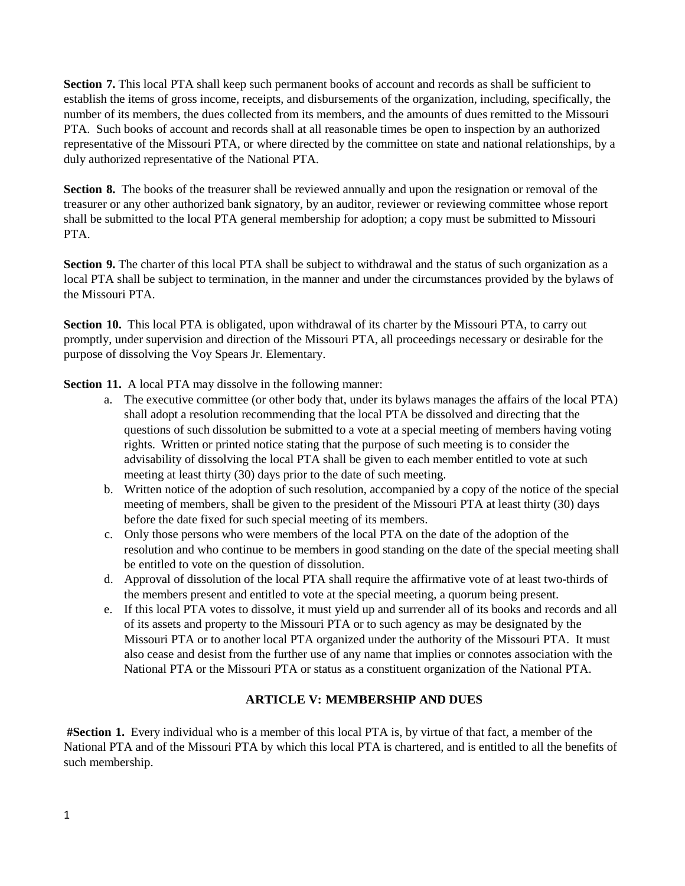**Section 7.** This local PTA shall keep such permanent books of account and records as shall be sufficient to establish the items of gross income, receipts, and disbursements of the organization, including, specifically, the number of its members, the dues collected from its members, and the amounts of dues remitted to the Missouri PTA. Such books of account and records shall at all reasonable times be open to inspection by an authorized representative of the Missouri PTA, or where directed by the committee on state and national relationships, by a duly authorized representative of the National PTA.

**Section 8.** The books of the treasurer shall be reviewed annually and upon the resignation or removal of the treasurer or any other authorized bank signatory, by an auditor, reviewer or reviewing committee whose report shall be submitted to the local PTA general membership for adoption; a copy must be submitted to Missouri PTA.

**Section 9.** The charter of this local PTA shall be subject to withdrawal and the status of such organization as a local PTA shall be subject to termination, in the manner and under the circumstances provided by the bylaws of the Missouri PTA.

**Section 10.** This local PTA is obligated, upon withdrawal of its charter by the Missouri PTA, to carry out promptly, under supervision and direction of the Missouri PTA, all proceedings necessary or desirable for the purpose of dissolving the Voy Spears Jr. Elementary.

**Section 11.** A local PTA may dissolve in the following manner:

- a. The executive committee (or other body that, under its bylaws manages the affairs of the local PTA) shall adopt a resolution recommending that the local PTA be dissolved and directing that the questions of such dissolution be submitted to a vote at a special meeting of members having voting rights. Written or printed notice stating that the purpose of such meeting is to consider the advisability of dissolving the local PTA shall be given to each member entitled to vote at such meeting at least thirty (30) days prior to the date of such meeting.
- b. Written notice of the adoption of such resolution, accompanied by a copy of the notice of the special meeting of members, shall be given to the president of the Missouri PTA at least thirty (30) days before the date fixed for such special meeting of its members.
- c. Only those persons who were members of the local PTA on the date of the adoption of the resolution and who continue to be members in good standing on the date of the special meeting shall be entitled to vote on the question of dissolution.
- d. Approval of dissolution of the local PTA shall require the affirmative vote of at least two-thirds of the members present and entitled to vote at the special meeting, a quorum being present.
- e. If this local PTA votes to dissolve, it must yield up and surrender all of its books and records and all of its assets and property to the Missouri PTA or to such agency as may be designated by the Missouri PTA or to another local PTA organized under the authority of the Missouri PTA. It must also cease and desist from the further use of any name that implies or connotes association with the National PTA or the Missouri PTA or status as a constituent organization of the National PTA.

#### **ARTICLE V: MEMBERSHIP AND DUES**

**#Section 1.** Every individual who is a member of this local PTA is, by virtue of that fact, a member of the National PTA and of the Missouri PTA by which this local PTA is chartered, and is entitled to all the benefits of such membership.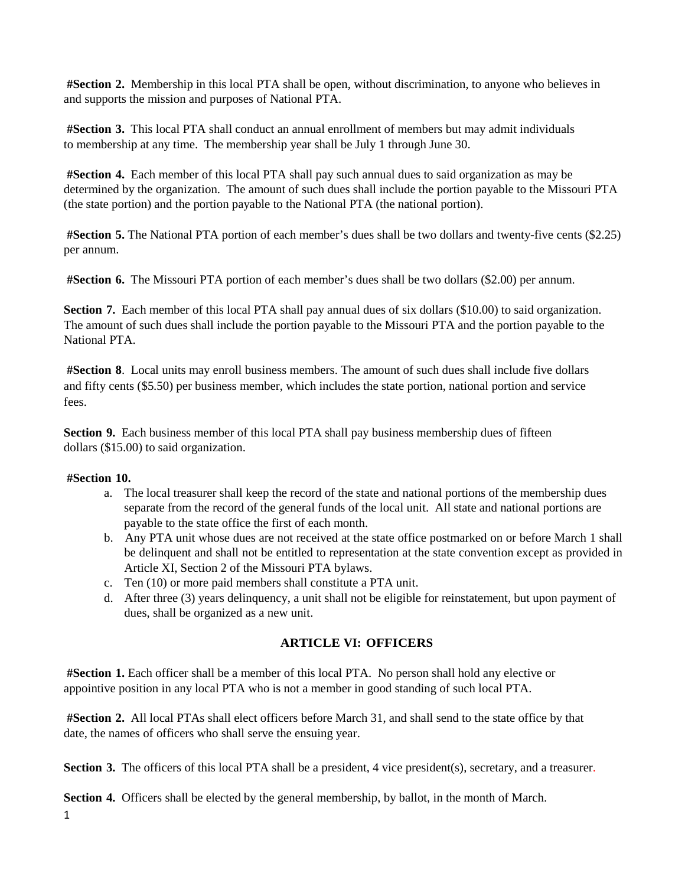**#Section 2.** Membership in this local PTA shall be open, without discrimination, to anyone who believes in and supports the mission and purposes of National PTA.

**#Section 3.** This local PTA shall conduct an annual enrollment of members but may admit individuals to membership at any time. The membership year shall be July 1 through June 30.

**#Section 4.** Each member of this local PTA shall pay such annual dues to said organization as may be determined by the organization. The amount of such dues shall include the portion payable to the Missouri PTA (the state portion) and the portion payable to the National PTA (the national portion).

**#Section 5.** The National PTA portion of each member's dues shall be two dollars and twenty-five cents (\$2.25) per annum.

**#Section 6.** The Missouri PTA portion of each member's dues shall be two dollars (\$2.00) per annum.

**Section 7.** Each member of this local PTA shall pay annual dues of six dollars (\$10.00) to said organization. The amount of such dues shall include the portion payable to the Missouri PTA and the portion payable to the National PTA.

**#Section 8**. Local units may enroll business members. The amount of such dues shall include five dollars and fifty cents (\$5.50) per business member, which includes the state portion, national portion and service fees.

**Section 9.** Each business member of this local PTA shall pay business membership dues of fifteen dollars (\$15.00) to said organization.

#### **#Section 10.**

- a. The local treasurer shall keep the record of the state and national portions of the membership dues separate from the record of the general funds of the local unit. All state and national portions are payable to the state office the first of each month.
- b. Any PTA unit whose dues are not received at the state office postmarked on or before March 1 shall be delinquent and shall not be entitled to representation at the state convention except as provided in Article XI, Section 2 of the Missouri PTA bylaws.
- c. Ten (10) or more paid members shall constitute a PTA unit.
- d. After three (3) years delinquency, a unit shall not be eligible for reinstatement, but upon payment of dues, shall be organized as a new unit.

#### **ARTICLE VI: OFFICERS**

**#Section 1.** Each officer shall be a member of this local PTA. No person shall hold any elective or appointive position in any local PTA who is not a member in good standing of such local PTA.

**#Section 2.** All local PTAs shall elect officers before March 31, and shall send to the state office by that date, the names of officers who shall serve the ensuing year.

**Section 3.** The officers of this local PTA shall be a president, 4 vice president(s), secretary, and a treasurer.

**Section 4.** Officers shall be elected by the general membership, by ballot, in the month of March.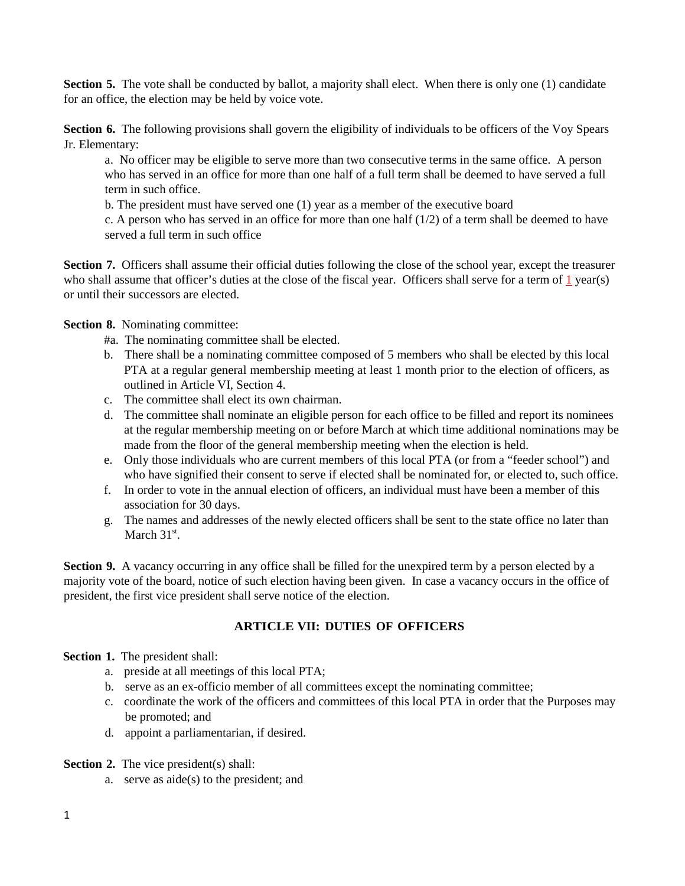**Section 5.** The vote shall be conducted by ballot, a majority shall elect. When there is only one (1) candidate for an office, the election may be held by voice vote.

**Section 6.** The following provisions shall govern the eligibility of individuals to be officers of the Voy Spears Jr. Elementary:

a. No officer may be eligible to serve more than two consecutive terms in the same office. A person who has served in an office for more than one half of a full term shall be deemed to have served a full term in such office.

b. The president must have served one (1) year as a member of the executive board

c. A person who has served in an office for more than one half  $(1/2)$  of a term shall be deemed to have served a full term in such office

**Section 7.** Officers shall assume their official duties following the close of the school year, except the treasurer who shall assume that officer's duties at the close of the fiscal year. Officers shall serve for a term of 1 year(s) or until their successors are elected.

**Section 8.** Nominating committee:

- #a. The nominating committee shall be elected.
- b. There shall be a nominating committee composed of 5 members who shall be elected by this local PTA at a regular general membership meeting at least 1 month prior to the election of officers, as outlined in Article VI, Section 4.
- c. The committee shall elect its own chairman.
- d. The committee shall nominate an eligible person for each office to be filled and report its nominees at the regular membership meeting on or before March at which time additional nominations may be made from the floor of the general membership meeting when the election is held.
- e. Only those individuals who are current members of this local PTA (or from a "feeder school") and who have signified their consent to serve if elected shall be nominated for, or elected to, such office.
- f. In order to vote in the annual election of officers, an individual must have been a member of this association for 30 days.
- g. The names and addresses of the newly elected officers shall be sent to the state office no later than March  $31<sup>st</sup>$ .

**Section 9.** A vacancy occurring in any office shall be filled for the unexpired term by a person elected by a majority vote of the board, notice of such election having been given. In case a vacancy occurs in the office of president, the first vice president shall serve notice of the election.

#### **ARTICLE VII: DUTIES OF OFFICERS**

**Section 1.** The president shall:

- a. preside at all meetings of this local PTA;
- b. serve as an ex-officio member of all committees except the nominating committee;
- c. coordinate the work of the officers and committees of this local PTA in order that the Purposes may be promoted; and
- d. appoint a parliamentarian, if desired.

**Section 2.** The vice president(s) shall:

a. serve as aide(s) to the president; and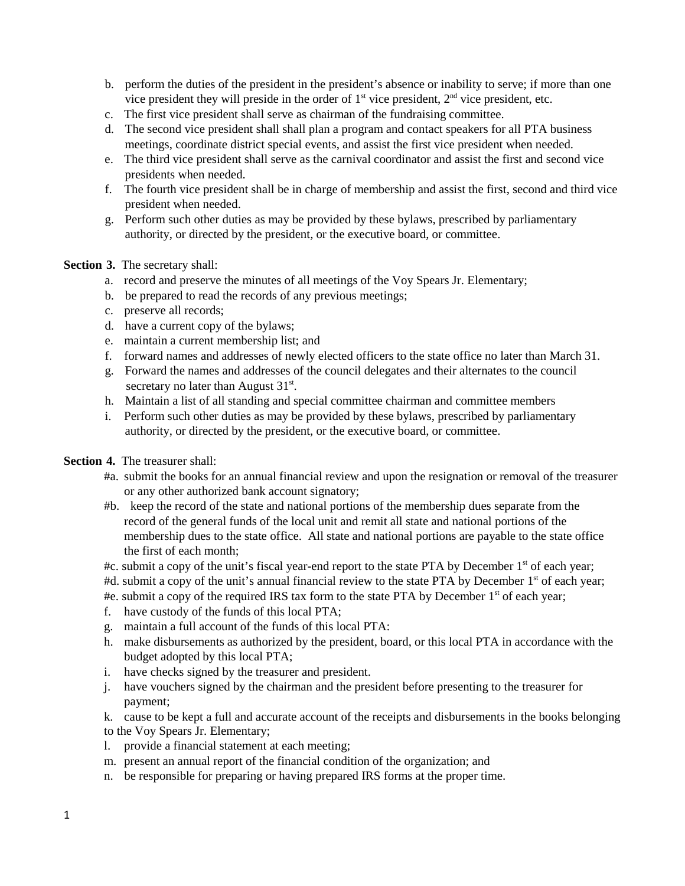- b. perform the duties of the president in the president's absence or inability to serve; if more than one vice president they will preside in the order of  $1<sup>st</sup>$  vice president,  $2<sup>nd</sup>$  vice president, etc.
- c. The first vice president shall serve as chairman of the fundraising committee.
- d. The second vice president shall shall plan a program and contact speakers for all PTA business meetings, coordinate district special events, and assist the first vice president when needed.
- e. The third vice president shall serve as the carnival coordinator and assist the first and second vice presidents when needed.
- f. The fourth vice president shall be in charge of membership and assist the first, second and third vice president when needed.
- g. Perform such other duties as may be provided by these bylaws, prescribed by parliamentary authority, or directed by the president, or the executive board, or committee.

#### **Section 3.** The secretary shall:

- a. record and preserve the minutes of all meetings of the Voy Spears Jr. Elementary;
- b. be prepared to read the records of any previous meetings;
- c. preserve all records;
- d. have a current copy of the bylaws;
- e. maintain a current membership list; and
- f. forward names and addresses of newly elected officers to the state office no later than March 31.
- g. Forward the names and addresses of the council delegates and their alternates to the council secretary no later than August  $31<sup>st</sup>$ .
- h. Maintain a list of all standing and special committee chairman and committee members
- i. Perform such other duties as may be provided by these bylaws, prescribed by parliamentary authority, or directed by the president, or the executive board, or committee.

#### **Section 4.** The treasurer shall:

- #a. submit the books for an annual financial review and upon the resignation or removal of the treasurer or any other authorized bank account signatory;
- #b. keep the record of the state and national portions of the membership dues separate from the record of the general funds of the local unit and remit all state and national portions of the membership dues to the state office. All state and national portions are payable to the state office the first of each month;
- #c. submit a copy of the unit's fiscal year-end report to the state PTA by December  $1<sup>st</sup>$  of each year;
- #d. submit a copy of the unit's annual financial review to the state PTA by December 1<sup>st</sup> of each year;
- #e. submit a copy of the required IRS tax form to the state PTA by December  $1<sup>st</sup>$  of each year;
- f. have custody of the funds of this local PTA;
- g. maintain a full account of the funds of this local PTA:
- h. make disbursements as authorized by the president, board, or this local PTA in accordance with the budget adopted by this local PTA;
- i. have checks signed by the treasurer and president.
- j. have vouchers signed by the chairman and the president before presenting to the treasurer for payment;
- k. cause to be kept a full and accurate account of the receipts and disbursements in the books belonging to the Voy Spears Jr. Elementary;
- l. provide a financial statement at each meeting;
- m. present an annual report of the financial condition of the organization; and
- n. be responsible for preparing or having prepared IRS forms at the proper time.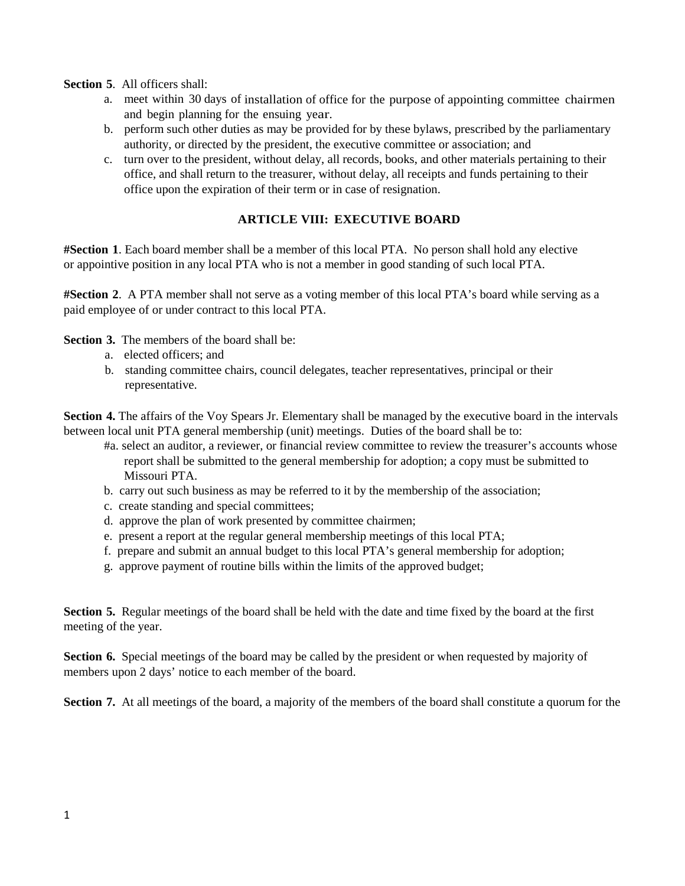#### **Section 5**. All officers shall:

- a. meet within 30 days of installation of office for the purpose of appointing committee chairmen and begin planning for the ensuing year.
- b. perform such other duties as may be provided for by these bylaws, prescribed by the parliamentary authority, or directed by the president, the executive committee or association; and
- c. turn over to the president, without delay, all records, books, and other materials pertaining to their office, and shall return to the treasurer, without delay, all receipts and funds pertaining to their office upon the expiration of their term or in case of resignation.

#### **ARTICLE VIII: EXECUTIVE BOARD**

**#Section 1**. Each board member shall be a member of this local PTA. No person shall hold any elective or appointive position in any local PTA who is not a member in good standing of such local PTA.

**#Section 2**. A PTA member shall not serve as a voting member of this local PTA's board while serving as a paid employee of or under contract to this local PTA.

**Section 3.** The members of the board shall be:

- a. elected officers; and
- b. standing committee chairs, council delegates, teacher representatives, principal or their representative.

**Section 4.** The affairs of the Voy Spears Jr. Elementary shall be managed by the executive board in the intervals between local unit PTA general membership (unit) meetings. Duties of the board shall be to:

- #a. select an auditor, a reviewer, or financial review committee to review the treasurer's accounts whose report shall be submitted to the general membership for adoption; a copy must be submitted to Missouri PTA.
- b. carry out such business as may be referred to it by the membership of the association;
- c. create standing and special committees;
- d. approve the plan of work presented by committee chairmen;
- e. present a report at the regular general membership meetings of this local PTA;
- f. prepare and submit an annual budget to this local PTA's general membership for adoption;
- g. approve payment of routine bills within the limits of the approved budget;

**Section 5.** Regular meetings of the board shall be held with the date and time fixed by the board at the first meeting of the year.

**Section 6.** Special meetings of the board may be called by the president or when requested by majority of members upon 2 days' notice to each member of the board.

**Section 7.** At all meetings of the board, a majority of the members of the board shall constitute a quorum for the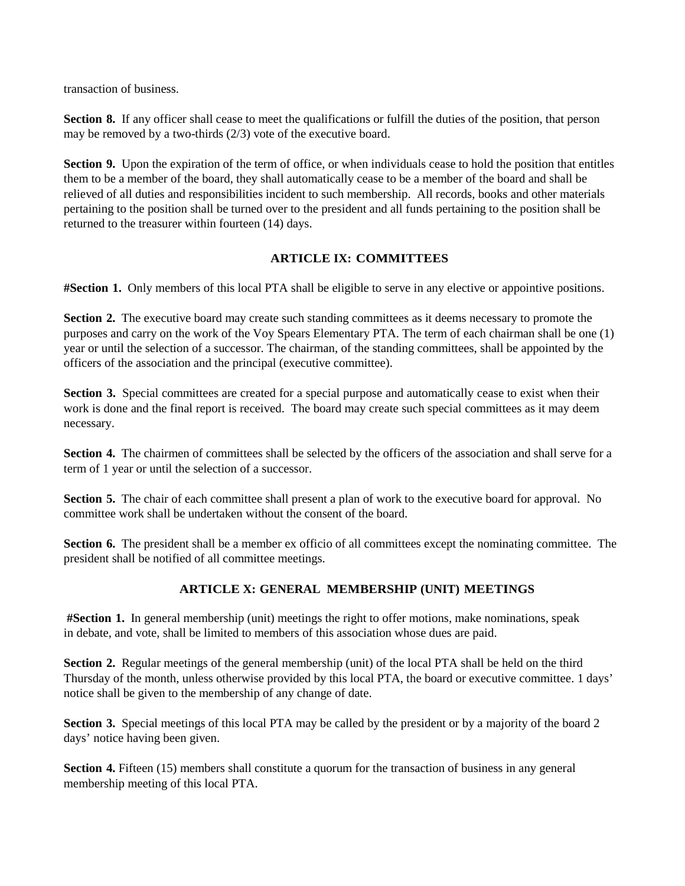transaction of business.

**Section 8.** If any officer shall cease to meet the qualifications or fulfill the duties of the position, that person may be removed by a two-thirds (2/3) vote of the executive board.

**Section 9.** Upon the expiration of the term of office, or when individuals cease to hold the position that entitles them to be a member of the board, they shall automatically cease to be a member of the board and shall be relieved of all duties and responsibilities incident to such membership. All records, books and other materials pertaining to the position shall be turned over to the president and all funds pertaining to the position shall be returned to the treasurer within fourteen (14) days.

## **ARTICLE IX: COMMITTEES**

**#Section 1.** Only members of this local PTA shall be eligible to serve in any elective or appointive positions.

**Section 2.** The executive board may create such standing committees as it deems necessary to promote the purposes and carry on the work of the Voy Spears Elementary PTA. The term of each chairman shall be one (1) year or until the selection of a successor. The chairman, of the standing committees, shall be appointed by the officers of the association and the principal (executive committee).

**Section 3.** Special committees are created for a special purpose and automatically cease to exist when their work is done and the final report is received. The board may create such special committees as it may deem necessary.

**Section 4.** The chairmen of committees shall be selected by the officers of the association and shall serve for a term of 1 year or until the selection of a successor.

**Section 5.** The chair of each committee shall present a plan of work to the executive board for approval. No committee work shall be undertaken without the consent of the board.

**Section 6.** The president shall be a member ex officio of all committees except the nominating committee. The president shall be notified of all committee meetings.

#### **ARTICLE X: GENERAL MEMBERSHIP (UNIT) MEETINGS**

**#Section 1.** In general membership (unit) meetings the right to offer motions, make nominations, speak in debate, and vote, shall be limited to members of this association whose dues are paid.

**Section 2.** Regular meetings of the general membership (unit) of the local PTA shall be held on the third Thursday of the month, unless otherwise provided by this local PTA, the board or executive committee. 1 days' notice shall be given to the membership of any change of date.

**Section 3.** Special meetings of this local PTA may be called by the president or by a majority of the board 2 days' notice having been given.

**Section 4.** Fifteen (15) members shall constitute a quorum for the transaction of business in any general membership meeting of this local PTA.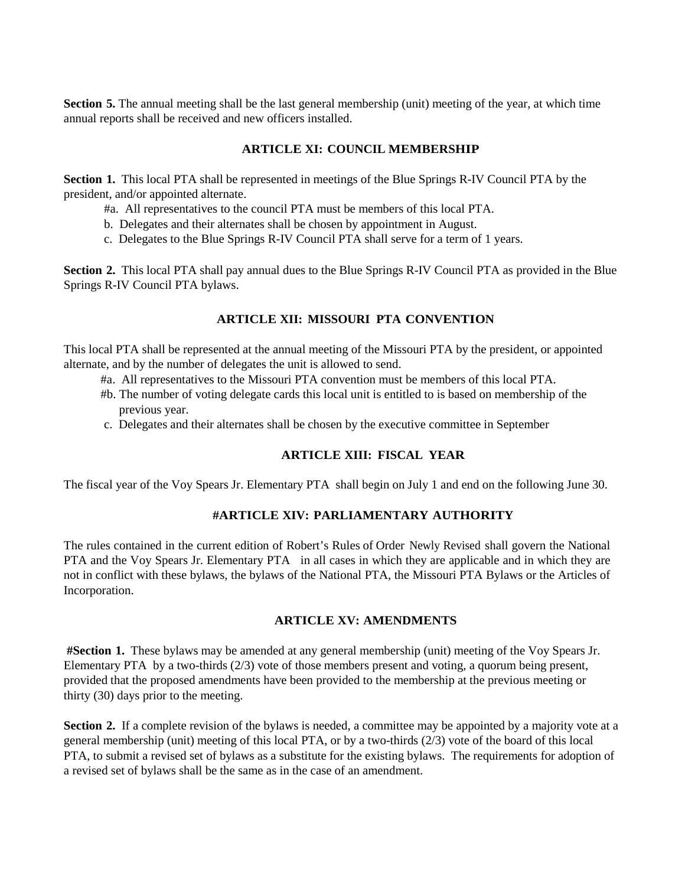**Section 5.** The annual meeting shall be the last general membership (unit) meeting of the year, at which time annual reports shall be received and new officers installed.

### **ARTICLE XI: COUNCIL MEMBERSHIP**

**Section 1.** This local PTA shall be represented in meetings of the Blue Springs R-IV Council PTA by the president, and/or appointed alternate.

- #a. All representatives to the council PTA must be members of this local PTA.
- b. Delegates and their alternates shall be chosen by appointment in August.
- c. Delegates to the Blue Springs R-IV Council PTA shall serve for a term of 1 years.

**Section 2.** This local PTA shall pay annual dues to the Blue Springs R-IV Council PTA as provided in the Blue Springs R-IV Council PTA bylaws.

## **ARTICLE XII: MISSOURI PTA CONVENTION**

This local PTA shall be represented at the annual meeting of the Missouri PTA by the president, or appointed alternate, and by the number of delegates the unit is allowed to send.

- #a. All representatives to the Missouri PTA convention must be members of this local PTA.
- #b. The number of voting delegate cards this local unit is entitled to is based on membership of the previous year.
- c. Delegates and their alternates shall be chosen by the executive committee in September

## **ARTICLE XIII: FISCAL YEAR**

The fiscal year of the Voy Spears Jr. Elementary PTA shall begin on July 1 and end on the following June 30.

## **#ARTICLE XIV: PARLIAMENTARY AUTHORITY**

The rules contained in the current edition of Robert's Rules of Order Newly Revised shall govern the National PTA and the Voy Spears Jr. Elementary PTA in all cases in which they are applicable and in which they are not in conflict with these bylaws, the bylaws of the National PTA, the Missouri PTA Bylaws or the Articles of Incorporation.

#### **ARTICLE XV: AMENDMENTS**

**#Section 1.** These bylaws may be amended at any general membership (unit) meeting of the Voy Spears Jr. Elementary PTA by a two-thirds (2/3) vote of those members present and voting, a quorum being present, provided that the proposed amendments have been provided to the membership at the previous meeting or thirty (30) days prior to the meeting.

**Section 2.** If a complete revision of the bylaws is needed, a committee may be appointed by a majority vote at a general membership (unit) meeting of this local PTA, or by a two-thirds (2/3) vote of the board of this local PTA, to submit a revised set of bylaws as a substitute for the existing bylaws. The requirements for adoption of a revised set of bylaws shall be the same as in the case of an amendment.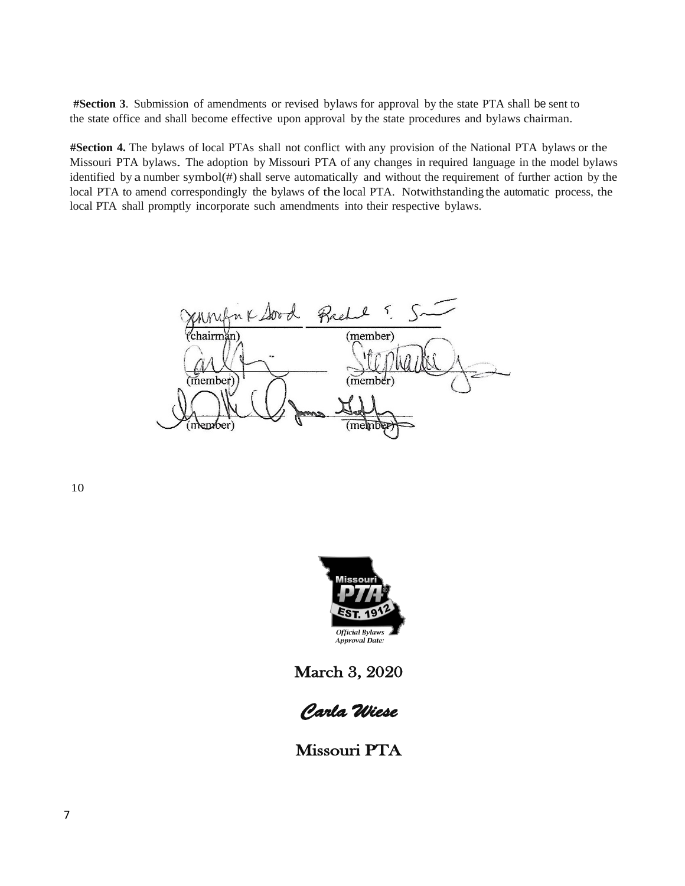**#Section 3**. Submission of amendments or revised bylaws for approval by the state PTA shall be sent to the state office and shall become effective upon approval by the state procedures and bylaws chairman.

**#Section 4.** The bylaws of local PTAs shall not conflict with any provision of the National PTA bylaws or the Missouri PTA bylaws. The adoption by Missouri PTA of any changes in required language in the model bylaws identified by a number symbol(#) shall serve automatically and without the requirement of further action by the local PTA to amend correspondingly the bylaws of the local PTA. Notwithstanding the automatic process, the local PTA shall promptly incorporate such amendments into their respective bylaws.

nk Sord Rae (member) :hairmǎn) (member) (memb ember)

10



March 3, 2020



Missouri PTA